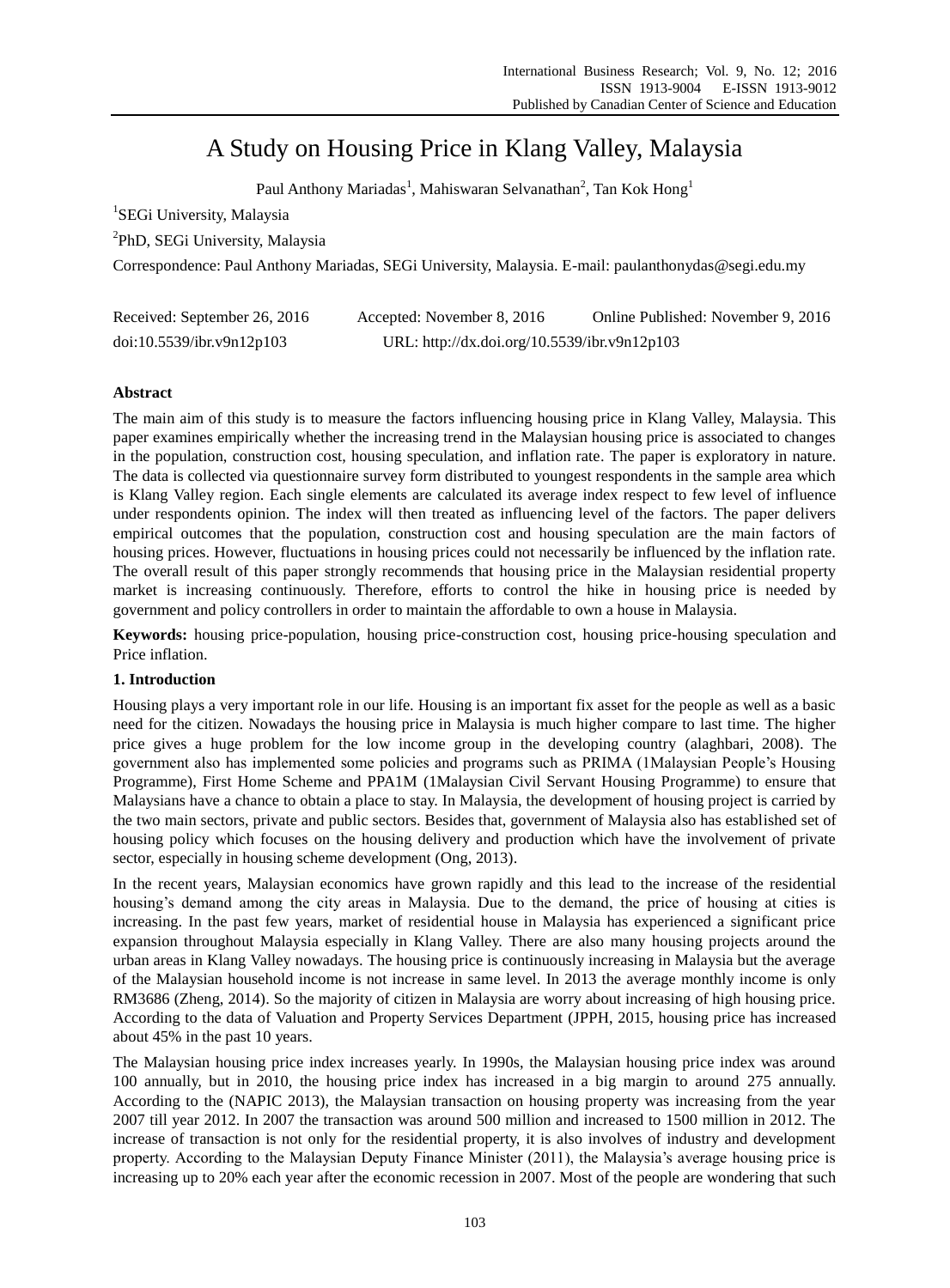# A Study on Housing Price in Klang Valley, Malaysia

Paul Anthony Mariadas<sup>1</sup>, Mahiswaran Selvanathan<sup>2</sup>, Tan Kok Hong<sup>1</sup>

<sup>1</sup>SEGi University, Malaysia

<sup>2</sup>PhD, SEGi University, Malaysia

Correspondence: Paul Anthony Mariadas, SEGi University, Malaysia. E-mail: paulanthonydas@segi.edu.my

| Received: September 26, 2016 | Accepted: November 8, 2016                   | Online Published: November 9, 2016 |
|------------------------------|----------------------------------------------|------------------------------------|
| doi:10.5539/ibr.v9n12p103    | URL: http://dx.doi.org/10.5539/ibr.v9n12p103 |                                    |

# **Abstract**

The main aim of this study is to measure the factors influencing housing price in Klang Valley, Malaysia. This paper examines empirically whether the increasing trend in the Malaysian housing price is associated to changes in the population, construction cost, housing speculation, and inflation rate. The paper is exploratory in nature. The data is collected via questionnaire survey form distributed to youngest respondents in the sample area which is Klang Valley region. Each single elements are calculated its average index respect to few level of influence under respondents opinion. The index will then treated as influencing level of the factors. The paper delivers empirical outcomes that the population, construction cost and housing speculation are the main factors of housing prices. However, fluctuations in housing prices could not necessarily be influenced by the inflation rate. The overall result of this paper strongly recommends that housing price in the Malaysian residential property market is increasing continuously. Therefore, efforts to control the hike in housing price is needed by government and policy controllers in order to maintain the affordable to own a house in Malaysia.

**Keywords:** housing price-population, housing price-construction cost, housing price-housing speculation and Price inflation.

# **1. Introduction**

Housing plays a very important role in our life. Housing is an important fix asset for the people as well as a basic need for the citizen. Nowadays the housing price in Malaysia is much higher compare to last time. The higher price gives a huge problem for the low income group in the developing country (alaghbari, 2008). The government also has implemented some policies and programs such as PRIMA (1Malaysian People"s Housing Programme), First Home Scheme and PPA1M (1Malaysian Civil Servant Housing Programme) to ensure that Malaysians have a chance to obtain a place to stay. In Malaysia, the development of housing project is carried by the two main sectors, private and public sectors. Besides that, government of Malaysia also has established set of housing policy which focuses on the housing delivery and production which have the involvement of private sector, especially in housing scheme development (Ong, 2013).

In the recent years, Malaysian economics have grown rapidly and this lead to the increase of the residential housing's demand among the city areas in Malaysia. Due to the demand, the price of housing at cities is increasing. In the past few years, market of residential house in Malaysia has experienced a significant price expansion throughout Malaysia especially in Klang Valley. There are also many housing projects around the urban areas in Klang Valley nowadays. The housing price is continuously increasing in Malaysia but the average of the Malaysian household income is not increase in same level. In 2013 the average monthly income is only RM3686 (Zheng, 2014). So the majority of citizen in Malaysia are worry about increasing of high housing price. According to the data of Valuation and Property Services Department (JPPH, 2015, housing price has increased about 45% in the past 10 years.

The Malaysian housing price index increases yearly. In 1990s, the Malaysian housing price index was around 100 annually, but in 2010, the housing price index has increased in a big margin to around 275 annually. According to the (NAPIC 2013), the Malaysian transaction on housing property was increasing from the year 2007 till year 2012. In 2007 the transaction was around 500 million and increased to 1500 million in 2012. The increase of transaction is not only for the residential property, it is also involves of industry and development property. According to the Malaysian Deputy Finance Minister (2011), the Malaysia's average housing price is increasing up to 20% each year after the economic recession in 2007. Most of the people are wondering that such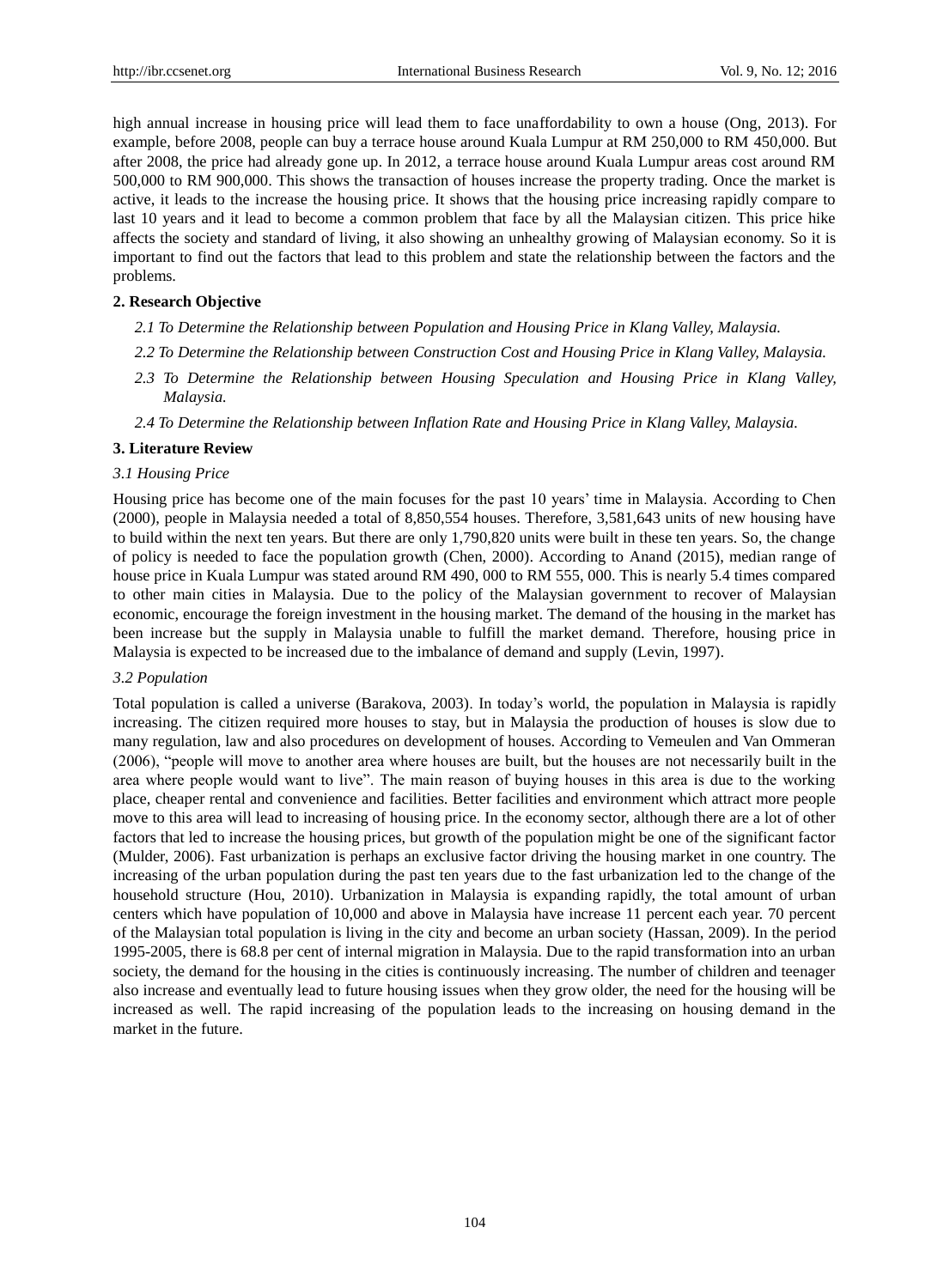high annual increase in housing price will lead them to face unaffordability to own a house (Ong, 2013). For example, before 2008, people can buy a terrace house around Kuala Lumpur at RM 250,000 to RM 450,000. But after 2008, the price had already gone up. In 2012, a terrace house around Kuala Lumpur areas cost around RM 500,000 to RM 900,000. This shows the transaction of houses increase the property trading. Once the market is active, it leads to the increase the housing price. It shows that the housing price increasing rapidly compare to last 10 years and it lead to become a common problem that face by all the Malaysian citizen. This price hike affects the society and standard of living, it also showing an unhealthy growing of Malaysian economy. So it is important to find out the factors that lead to this problem and state the relationship between the factors and the problems.

#### **2. Research Objective**

- *2.1 To Determine the Relationship between Population and Housing Price in Klang Valley, Malaysia.*
- *2.2 To Determine the Relationship between Construction Cost and Housing Price in Klang Valley, Malaysia.*
- *2.3 To Determine the Relationship between Housing Speculation and Housing Price in Klang Valley, Malaysia.*
- *2.4 To Determine the Relationship between Inflation Rate and Housing Price in Klang Valley, Malaysia.*

## **3. Literature Review**

## *3.1 Housing Price*

Housing price has become one of the main focuses for the past 10 years" time in Malaysia. According to Chen (2000), people in Malaysia needed a total of 8,850,554 houses. Therefore, 3,581,643 units of new housing have to build within the next ten years. But there are only 1,790,820 units were built in these ten years. So, the change of policy is needed to face the population growth (Chen, 2000). According to Anand (2015), median range of house price in Kuala Lumpur was stated around RM 490, 000 to RM 555, 000. This is nearly 5.4 times compared to other main cities in Malaysia. Due to the policy of the Malaysian government to recover of Malaysian economic, encourage the foreign investment in the housing market. The demand of the housing in the market has been increase but the supply in Malaysia unable to fulfill the market demand. Therefore, housing price in Malaysia is expected to be increased due to the imbalance of demand and supply (Levin, 1997).

#### *3.2 Population*

Total population is called a universe (Barakova, 2003). In today"s world, the population in Malaysia is rapidly increasing. The citizen required more houses to stay, but in Malaysia the production of houses is slow due to many regulation, law and also procedures on development of houses. According to Vemeulen and Van Ommeran (2006), "people will move to another area where houses are built, but the houses are not necessarily built in the area where people would want to live". The main reason of buying houses in this area is due to the working place, cheaper rental and convenience and facilities. Better facilities and environment which attract more people move to this area will lead to increasing of housing price. In the economy sector, although there are a lot of other factors that led to increase the housing prices, but growth of the population might be one of the significant factor (Mulder, 2006). Fast urbanization is perhaps an exclusive factor driving the housing market in one country. The increasing of the urban population during the past ten years due to the fast urbanization led to the change of the household structure (Hou, 2010). Urbanization in Malaysia is expanding rapidly, the total amount of urban centers which have population of 10,000 and above in Malaysia have increase 11 percent each year. 70 percent of the Malaysian total population is living in the city and become an urban society (Hassan, 2009). In the period 1995-2005, there is 68.8 per cent of internal migration in Malaysia. Due to the rapid transformation into an urban society, the demand for the housing in the cities is continuously increasing. The number of children and teenager also increase and eventually lead to future housing issues when they grow older, the need for the housing will be increased as well. The rapid increasing of the population leads to the increasing on housing demand in the market in the future.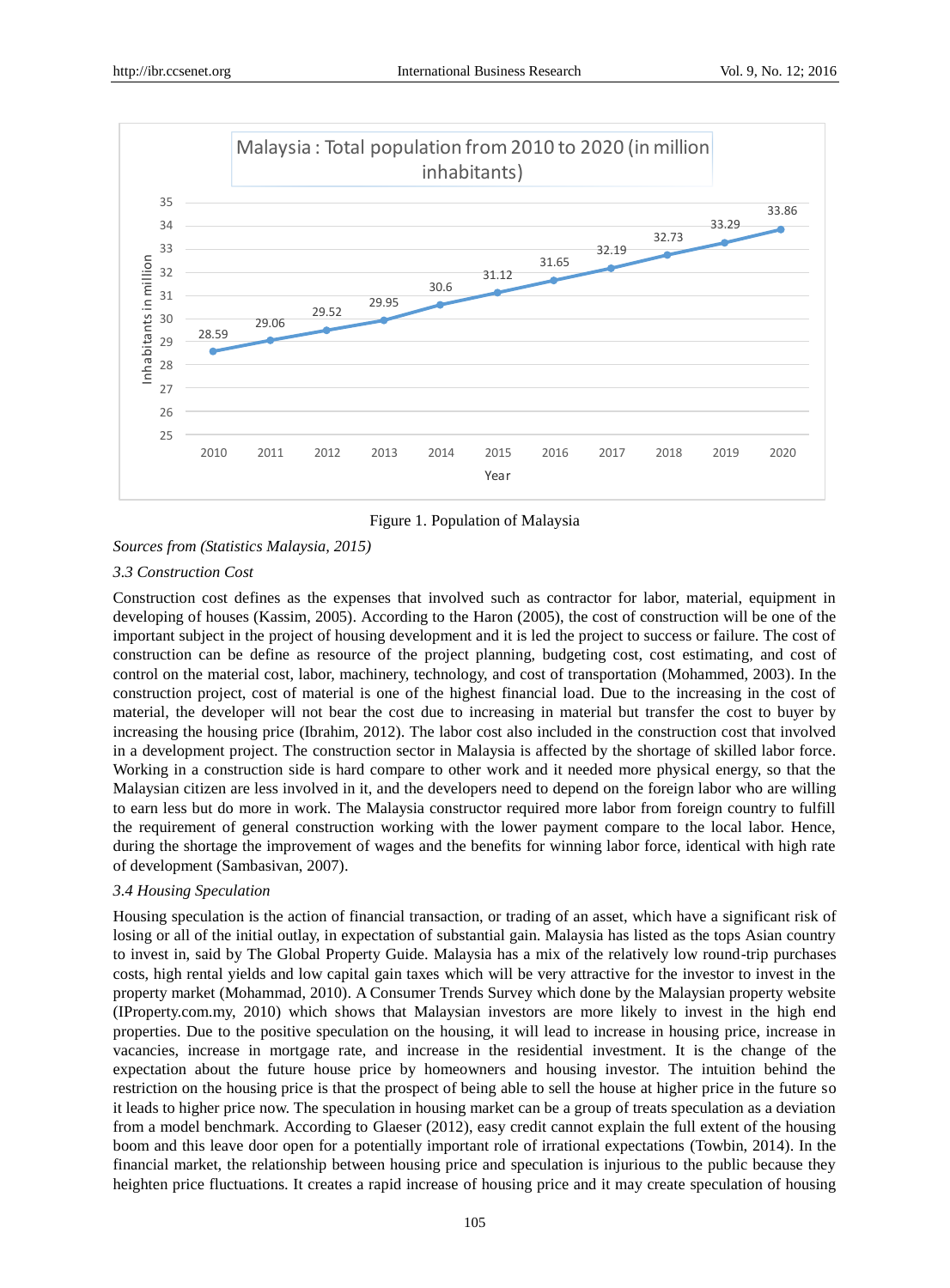

Figure 1. Population of Malaysia

# *Sources from (Statistics Malaysia, 2015)*

# *3.3 Construction Cost*

Construction cost defines as the expenses that involved such as contractor for labor, material, equipment in developing of houses (Kassim, 2005). According to the Haron (2005), the cost of construction will be one of the important subject in the project of housing development and it is led the project to success or failure. The cost of construction can be define as resource of the project planning, budgeting cost, cost estimating, and cost of control on the material cost, labor, machinery, technology, and cost of transportation (Mohammed, 2003). In the construction project, cost of material is one of the highest financial load. Due to the increasing in the cost of material, the developer will not bear the cost due to increasing in material but transfer the cost to buyer by increasing the housing price (Ibrahim, 2012). The labor cost also included in the construction cost that involved in a development project. The construction sector in Malaysia is affected by the shortage of skilled labor force. Working in a construction side is hard compare to other work and it needed more physical energy, so that the Malaysian citizen are less involved in it, and the developers need to depend on the foreign labor who are willing to earn less but do more in work. The Malaysia constructor required more labor from foreign country to fulfill the requirement of general construction working with the lower payment compare to the local labor. Hence, during the shortage the improvement of wages and the benefits for winning labor force, identical with high rate of development (Sambasivan, 2007).

# *3.4 Housing Speculation*

Housing speculation is the action of financial transaction, or trading of an asset, which have a significant risk of losing or all of the initial outlay, in expectation of substantial gain. Malaysia has listed as the tops Asian country to invest in, said by The Global Property Guide. Malaysia has a mix of the relatively low round-trip purchases costs, high rental yields and low capital gain taxes which will be very attractive for the investor to invest in the property market (Mohammad, 2010). A Consumer Trends Survey which done by the Malaysian property website (IProperty.com.my, 2010) which shows that Malaysian investors are more likely to invest in the high end properties. Due to the positive speculation on the housing, it will lead to increase in housing price, increase in vacancies, increase in mortgage rate, and increase in the residential investment. It is the change of the expectation about the future house price by homeowners and housing investor. The intuition behind the restriction on the housing price is that the prospect of being able to sell the house at higher price in the future so it leads to higher price now. The speculation in housing market can be a group of treats speculation as a deviation from a model benchmark. According to Glaeser (2012), easy credit cannot explain the full extent of the housing boom and this leave door open for a potentially important role of irrational expectations (Towbin, 2014). In the financial market, the relationship between housing price and speculation is injurious to the public because they heighten price fluctuations. It creates a rapid increase of housing price and it may create speculation of housing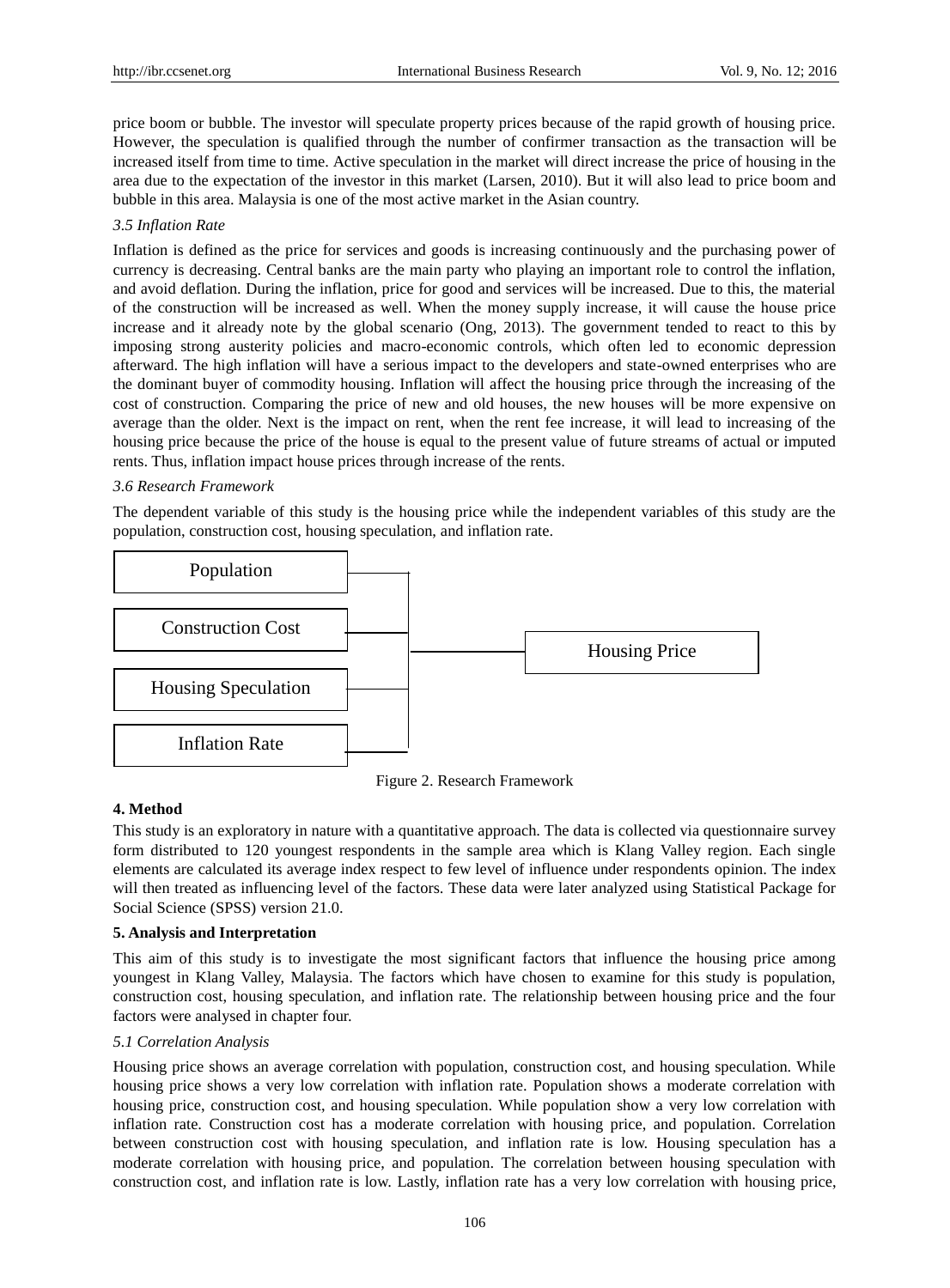price boom or bubble. The investor will speculate property prices because of the rapid growth of housing price. However, the speculation is qualified through the number of confirmer transaction as the transaction will be increased itself from time to time. Active speculation in the market will direct increase the price of housing in the area due to the expectation of the investor in this market (Larsen, 2010). But it will also lead to price boom and bubble in this area. Malaysia is one of the most active market in the Asian country.

# *3.5 Inflation Rate*

Inflation is defined as the price for services and goods is increasing continuously and the purchasing power of currency is decreasing. Central banks are the main party who playing an important role to control the inflation, and avoid deflation. During the inflation, price for good and services will be increased. Due to this, the material of the construction will be increased as well. When the money supply increase, it will cause the house price increase and it already note by the global scenario (Ong, 2013). The government tended to react to this by imposing strong austerity policies and macro-economic controls, which often led to economic depression afterward. The high inflation will have a serious impact to the developers and state-owned enterprises who are the dominant buyer of commodity housing. Inflation will affect the housing price through the increasing of the cost of construction. Comparing the price of new and old houses, the new houses will be more expensive on average than the older. Next is the impact on rent, when the rent fee increase, it will lead to increasing of the housing price because the price of the house is equal to the present value of future streams of actual or imputed rents. Thus, inflation impact house prices through increase of the rents.

# *3.6 Research Framework*

The dependent variable of this study is the housing price while the independent variables of this study are the population, construction cost, housing speculation, and inflation rate.





# **4. Method**

This study is an exploratory in nature with a quantitative approach. The data is collected via questionnaire survey form distributed to 120 youngest respondents in the sample area which is Klang Valley region. Each single elements are calculated its average index respect to few level of influence under respondents opinion. The index will then treated as influencing level of the factors. These data were later analyzed using Statistical Package for Social Science (SPSS) version 21.0.

# **5. Analysis and Interpretation**

This aim of this study is to investigate the most significant factors that influence the housing price among youngest in Klang Valley, Malaysia. The factors which have chosen to examine for this study is population, construction cost, housing speculation, and inflation rate. The relationship between housing price and the four factors were analysed in chapter four.

# *5.1 Correlation Analysis*

Housing price shows an average correlation with population, construction cost, and housing speculation. While housing price shows a very low correlation with inflation rate. Population shows a moderate correlation with housing price, construction cost, and housing speculation. While population show a very low correlation with inflation rate. Construction cost has a moderate correlation with housing price, and population. Correlation between construction cost with housing speculation, and inflation rate is low. Housing speculation has a moderate correlation with housing price, and population. The correlation between housing speculation with construction cost, and inflation rate is low. Lastly, inflation rate has a very low correlation with housing price,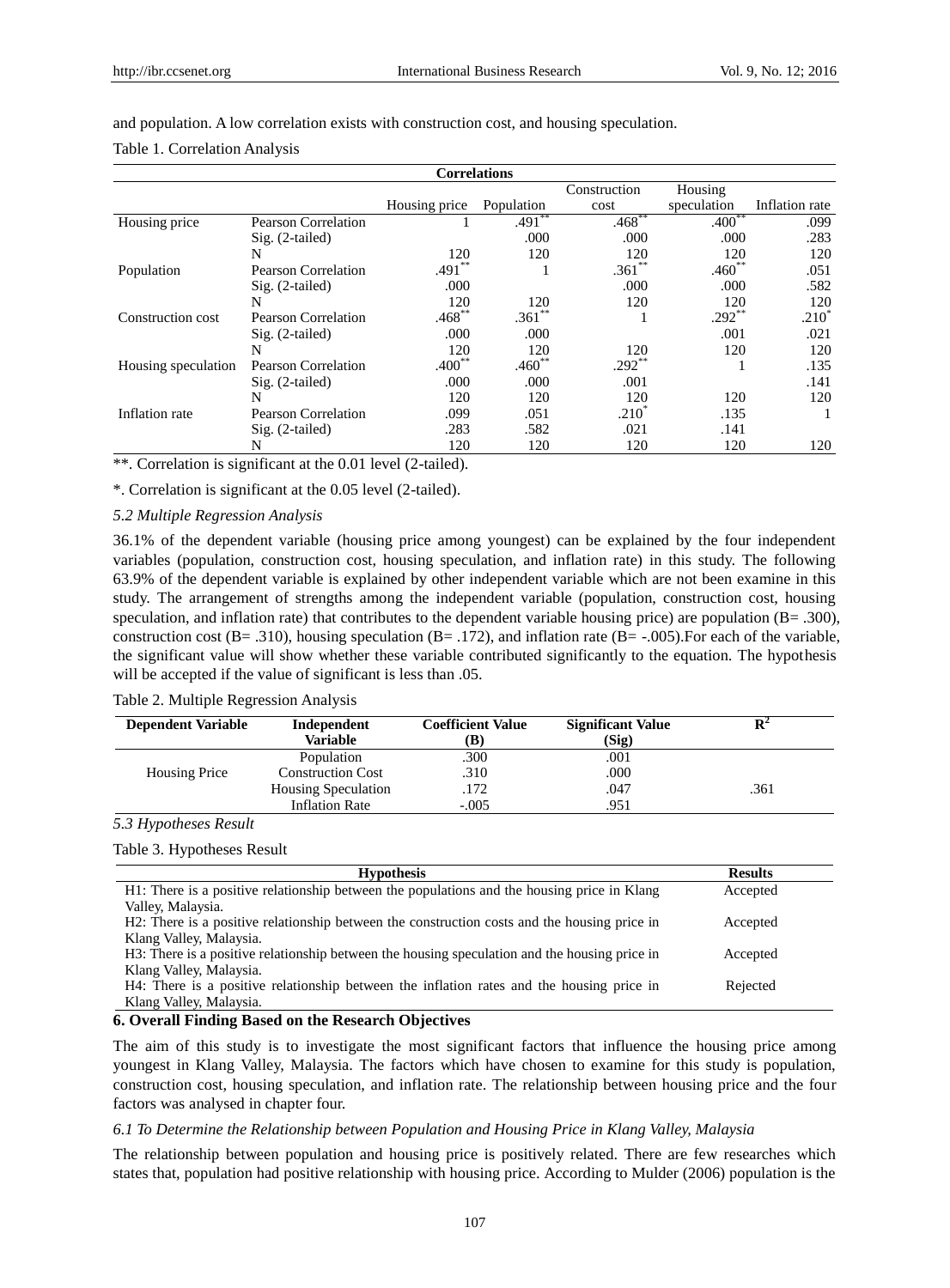| <b>Correlations</b> |                            |               |                     |              |             |                |  |
|---------------------|----------------------------|---------------|---------------------|--------------|-------------|----------------|--|
|                     |                            |               |                     | Construction | Housing     |                |  |
|                     |                            | Housing price | Population          | cost         | speculation | Inflation rate |  |
| Housing price       | Pearson Correlation        |               | $.491**$            | $.468$ **    | $.400**$    | .099           |  |
|                     | $Sig. (2-tailed)$          |               | .000                | .000.        | .000        | .283           |  |
|                     | N                          | 120           | 120                 | 120          | 120         | 120            |  |
| Population          | <b>Pearson Correlation</b> | $.491**$      |                     | $.361$ **    | $.460**$    | .051           |  |
|                     | $Sig. (2-tailed)$          | .000          |                     | .000         | .000        | .582           |  |
|                     | N                          | 120           | 120                 | 120          | 120         | 120            |  |
| Construction cost   | <b>Pearson Correlation</b> | $.468***$     | $.361$ <sup>*</sup> |              | $.292**$    | $.210*$        |  |
|                     | $Sig. (2-tailed)$          | .000          | .000                |              | .001        | .021           |  |
|                     | N                          | 120           | 120                 | 120          | 120         | 120            |  |
| Housing speculation | <b>Pearson Correlation</b> | $.400**$      | $.460^{\degree}$    | $.292**$     |             | .135           |  |
|                     | $Sig. (2-tailed)$          | .000          | .000                | .001         |             | .141           |  |
|                     | N                          | 120           | 120                 | 120          | 120         | 120            |  |
| Inflation rate      | Pearson Correlation        | .099          | .051                | $.210^{*}$   | .135        |                |  |
|                     | $Sig. (2-tailed)$          | .283          | .582                | .021         | .141        |                |  |
|                     | N                          | 120           | 120                 | 120          | 120         | 120            |  |

and population. A low correlation exists with construction cost, and housing speculation.

#### Table 1. Correlation Analysis

\*\*. Correlation is significant at the 0.01 level (2-tailed).

\*. Correlation is significant at the 0.05 level (2-tailed).

## *5.2 Multiple Regression Analysis*

36.1% of the dependent variable (housing price among youngest) can be explained by the four independent variables (population, construction cost, housing speculation, and inflation rate) in this study. The following 63.9% of the dependent variable is explained by other independent variable which are not been examine in this study. The arrangement of strengths among the independent variable (population, construction cost, housing speculation, and inflation rate) that contributes to the dependent variable housing price) are population (B= .300), construction cost ( $B = .310$ ), housing speculation ( $B = .172$ ), and inflation rate ( $B = .005$ ). For each of the variable, the significant value will show whether these variable contributed significantly to the equation. The hypothesis will be accepted if the value of significant is less than  $.05$ .

| Table 2. Multiple Regression Analysis |
|---------------------------------------|
|---------------------------------------|

| <b>Dependent Variable</b> | Independent              | <b>Coefficient Value</b> | <b>Significant Value</b> |      |
|---------------------------|--------------------------|--------------------------|--------------------------|------|
|                           | <b>Variable</b>          | (B)                      | (Sig)                    |      |
|                           | Population               | .300                     | .001                     |      |
| <b>Housing Price</b>      | <b>Construction Cost</b> | .310                     | .000                     |      |
|                           | Housing Speculation      | 172                      | .047                     | .361 |
|                           | <b>Inflation Rate</b>    | $-.005$                  | .951                     |      |

*5.3 Hypotheses Result* 

Table 3. Hypotheses Result

| <b>Hypothesis</b>                                                                             | <b>Results</b> |
|-----------------------------------------------------------------------------------------------|----------------|
| H1: There is a positive relationship between the populations and the housing price in Klang   | Accepted       |
| Valley, Malaysia.                                                                             |                |
| H2: There is a positive relationship between the construction costs and the housing price in  | Accepted       |
| Klang Valley, Malaysia.                                                                       |                |
| H3: There is a positive relationship between the housing speculation and the housing price in | Accepted       |
| Klang Valley, Malaysia.                                                                       |                |
| H4: There is a positive relationship between the inflation rates and the housing price in     | Rejected       |
| Klang Valley, Malaysia.                                                                       |                |

#### **6. Overall Finding Based on the Research Objectives**

The aim of this study is to investigate the most significant factors that influence the housing price among youngest in Klang Valley, Malaysia. The factors which have chosen to examine for this study is population, construction cost, housing speculation, and inflation rate. The relationship between housing price and the four factors was analysed in chapter four.

#### *6.1 To Determine the Relationship between Population and Housing Price in Klang Valley, Malaysia*

The relationship between population and housing price is positively related. There are few researches which states that, population had positive relationship with housing price. According to Mulder (2006) population is the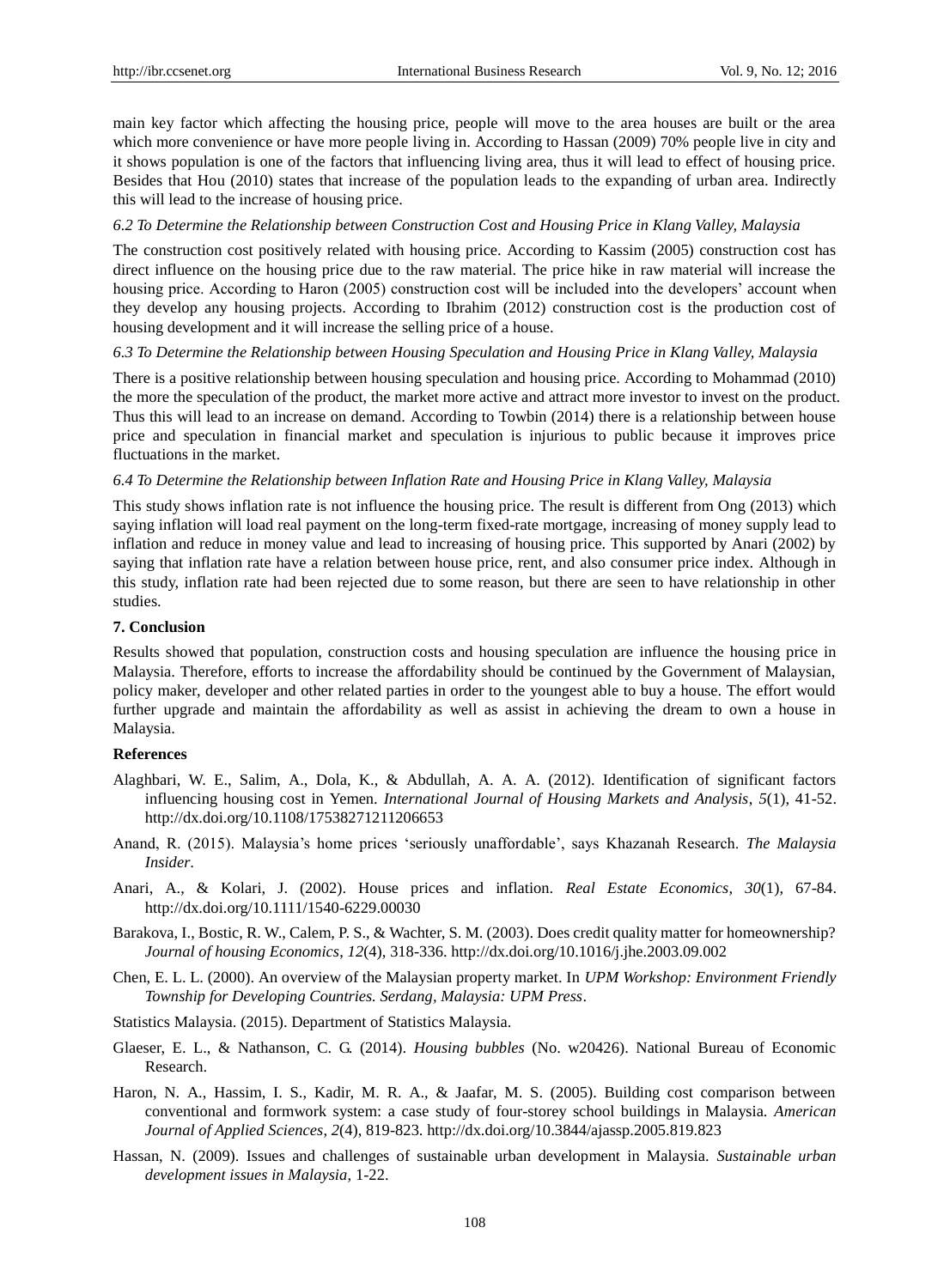main key factor which affecting the housing price, people will move to the area houses are built or the area which more convenience or have more people living in. According to Hassan (2009) 70% people live in city and it shows population is one of the factors that influencing living area, thus it will lead to effect of housing price. Besides that Hou (2010) states that increase of the population leads to the expanding of urban area. Indirectly this will lead to the increase of housing price.

#### *6.2 To Determine the Relationship between Construction Cost and Housing Price in Klang Valley, Malaysia*

The construction cost positively related with housing price. According to Kassim (2005) construction cost has direct influence on the housing price due to the raw material. The price hike in raw material will increase the housing price. According to Haron (2005) construction cost will be included into the developers' account when they develop any housing projects. According to Ibrahim (2012) construction cost is the production cost of housing development and it will increase the selling price of a house.

## *6.3 To Determine the Relationship between Housing Speculation and Housing Price in Klang Valley, Malaysia*

There is a positive relationship between housing speculation and housing price. According to Mohammad (2010) the more the speculation of the product, the market more active and attract more investor to invest on the product. Thus this will lead to an increase on demand. According to Towbin (2014) there is a relationship between house price and speculation in financial market and speculation is injurious to public because it improves price fluctuations in the market.

#### *6.4 To Determine the Relationship between Inflation Rate and Housing Price in Klang Valley, Malaysia*

This study shows inflation rate is not influence the housing price. The result is different from Ong (2013) which saying inflation will load real payment on the long-term fixed-rate mortgage, increasing of money supply lead to inflation and reduce in money value and lead to increasing of housing price. This supported by Anari (2002) by saying that inflation rate have a relation between house price, rent, and also consumer price index. Although in this study, inflation rate had been rejected due to some reason, but there are seen to have relationship in other studies.

## **7. Conclusion**

Results showed that population, construction costs and housing speculation are influence the housing price in Malaysia. Therefore, efforts to increase the affordability should be continued by the Government of Malaysian, policy maker, developer and other related parties in order to the youngest able to buy a house. The effort would further upgrade and maintain the affordability as well as assist in achieving the dream to own a house in Malaysia.

#### **References**

- Alaghbari, W. E., Salim, A., Dola, K., & Abdullah, A. A. A. (2012). Identification of significant factors influencing housing cost in Yemen. *International Journal of Housing Markets and Analysis*, *5*(1), 41-52. <http://dx.doi.org/10.1108/17538271211206653>
- Anand, R. (2015). Malaysia"s home prices "seriously unaffordable", says Khazanah Research. *The Malaysia Insider*.
- Anari, A., & Kolari, J. (2002). House prices and inflation. *Real Estate Economics*, *30*(1), 67-84. <http://dx.doi.org/10.1111/1540-6229.00030>
- Barakova, I., Bostic, R. W., Calem, P. S., & Wachter, S. M. (2003). Does credit quality matter for homeownership? *Journal of housing Economics*, *12*(4), 318-336. <http://dx.doi.org/10.1016/j.jhe.2003.09.002>
- Chen, E. L. L. (2000). An overview of the Malaysian property market. In *UPM Workshop: Environment Friendly Township for Developing Countries. Serdang, Malaysia: UPM Press*.
- Statistics Malaysia. (2015). Department of Statistics Malaysia.
- Glaeser, E. L., & Nathanson, C. G. (2014). *Housing bubbles* (No. w20426). National Bureau of Economic Research.
- Haron, N. A., Hassim, I. S., Kadir, M. R. A., & Jaafar, M. S. (2005). Building cost comparison between conventional and formwork system: a case study of four-storey school buildings in Malaysia. *American Journal of Applied Sciences*, *2*(4), 819-823. <http://dx.doi.org/10.3844/ajassp.2005.819.823>
- Hassan, N. (2009). Issues and challenges of sustainable urban development in Malaysia. *Sustainable urban development issues in Malaysia*, 1-22.